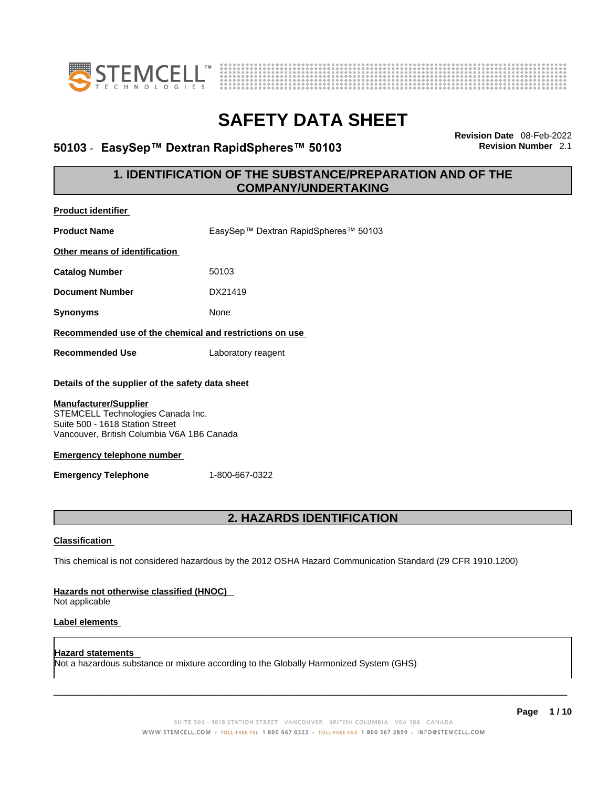

**Product identifier**



# **SAFETY DATA SHEET**

### **50103** - **EasySep™ Dextran RapidSpheres™ 50103 Revision Number** 2.1

**Revision Date** 08-Feb-2022

### **1. IDENTIFICATION OF THE SUBSTANCE/PREPARATION AND OF THE COMPANY/UNDERTAKING**

| Product Identifier                                                                                                                                 |                                                                                                             |  |
|----------------------------------------------------------------------------------------------------------------------------------------------------|-------------------------------------------------------------------------------------------------------------|--|
| <b>Product Name</b>                                                                                                                                | EasySep™ Dextran RapidSpheres™ 50103                                                                        |  |
| Other means of identification                                                                                                                      |                                                                                                             |  |
| <b>Catalog Number</b>                                                                                                                              | 50103                                                                                                       |  |
| <b>Document Number</b>                                                                                                                             | DX21419                                                                                                     |  |
| <b>Synonyms</b>                                                                                                                                    | None                                                                                                        |  |
| Recommended use of the chemical and restrictions on use                                                                                            |                                                                                                             |  |
| <b>Recommended Use</b>                                                                                                                             | Laboratory reagent                                                                                          |  |
| Details of the supplier of the safety data sheet                                                                                                   |                                                                                                             |  |
| <b>Manufacturer/Supplier</b><br>STEMCELL Technologies Canada Inc.<br>Suite 500 - 1618 Station Street<br>Vancouver, British Columbia V6A 1B6 Canada |                                                                                                             |  |
| <b>Emergency telephone number</b>                                                                                                                  |                                                                                                             |  |
| <b>Emergency Telephone</b>                                                                                                                         | 1-800-667-0322                                                                                              |  |
|                                                                                                                                                    |                                                                                                             |  |
| 2. HAZARDS IDENTIFICATION                                                                                                                          |                                                                                                             |  |
| <b>Classification</b>                                                                                                                              |                                                                                                             |  |
|                                                                                                                                                    | This chemical is not considered hazardous by the 2012 OSHA Hazard Communication Standard (29 CFR 1910.1200) |  |
| Hazards not otherwise classified (HNOC)<br>Not applicable                                                                                          |                                                                                                             |  |
| <b>Label elements</b>                                                                                                                              |                                                                                                             |  |
| <b>Hazard statements</b>                                                                                                                           |                                                                                                             |  |

Not a hazardous substance or mixture according to the Globally Harmonized System (GHS)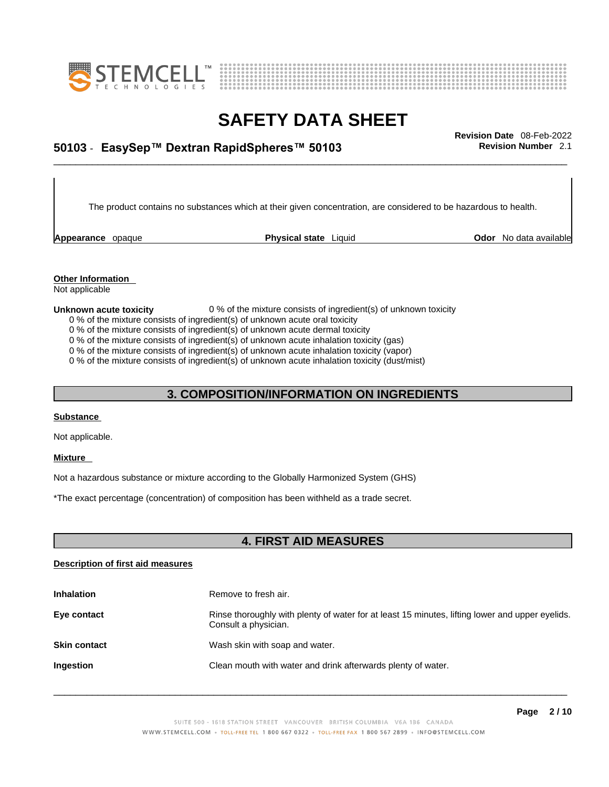



## \_\_\_\_\_\_\_\_\_\_\_\_\_\_\_\_\_\_\_\_\_\_\_\_\_\_\_\_\_\_\_\_\_\_\_\_\_\_\_\_\_\_\_\_\_\_\_\_\_\_\_\_\_\_\_\_\_\_\_\_\_\_\_\_\_\_\_\_\_\_\_\_\_\_\_\_\_\_\_\_\_\_\_\_\_\_\_\_\_\_\_\_\_ **Revision Date** 08-Feb-2022 **50103** - **EasySep™ Dextran RapidSpheres™ 50103 Revision Number** 2.1

The product contains no substances which at their given concentration, are considered to be hazardous to health.

**Appearance** opaque **Physical state** Liquid

**Odor** No data available

**Other Information**  Not applicable

#### **Unknown acute toxicity** 0 % of the mixture consists of ingredient(s) of unknown toxicity

- 0 % of the mixture consists of ingredient(s) of unknown acute oral toxicity
- 0 % of the mixture consists of ingredient(s) of unknown acute dermal toxicity
- 0 % of the mixture consists of ingredient(s) of unknown acute inhalation toxicity (gas)
- 0 % of the mixture consists of ingredient(s) of unknown acute inhalation toxicity (vapor)

0 % of the mixture consists of ingredient(s) of unknown acute inhalation toxicity (dust/mist)

### **3. COMPOSITION/INFORMATION ON INGREDIENTS**

#### **Substance**

Not applicable.

#### **Mixture**

Not a hazardous substance or mixture according to the Globally Harmonized System (GHS)

\*The exact percentage (concentration) of composition has been withheld as a trade secret.

### **4. FIRST AID MEASURES**

#### **Description of first aid measures**

| <b>Inhalation</b>   | Remove to fresh air.                                                                                                    |
|---------------------|-------------------------------------------------------------------------------------------------------------------------|
| Eye contact         | Rinse thoroughly with plenty of water for at least 15 minutes, lifting lower and upper eyelids.<br>Consult a physician. |
| <b>Skin contact</b> | Wash skin with soap and water.                                                                                          |
| Ingestion           | Clean mouth with water and drink afterwards plenty of water.                                                            |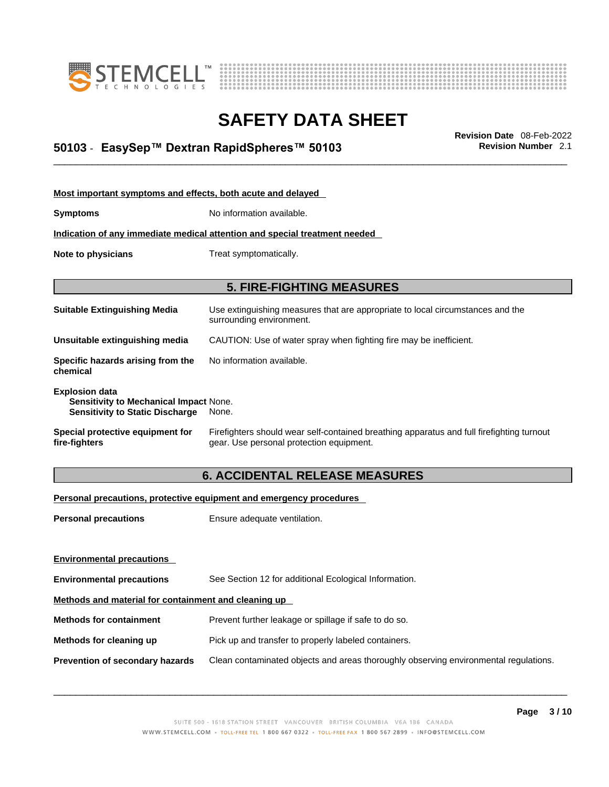



## \_\_\_\_\_\_\_\_\_\_\_\_\_\_\_\_\_\_\_\_\_\_\_\_\_\_\_\_\_\_\_\_\_\_\_\_\_\_\_\_\_\_\_\_\_\_\_\_\_\_\_\_\_\_\_\_\_\_\_\_\_\_\_\_\_\_\_\_\_\_\_\_\_\_\_\_\_\_\_\_\_\_\_\_\_\_\_\_\_\_\_\_\_ **Revision Date** 08-Feb-2022 **50103** - **EasySep™ Dextran RapidSpheres™ 50103 Revision Number** 2.1

| Most important symptoms and effects, both acute and delayed                                                      |                                                                                                                                       |  |
|------------------------------------------------------------------------------------------------------------------|---------------------------------------------------------------------------------------------------------------------------------------|--|
| <b>Symptoms</b>                                                                                                  | No information available.                                                                                                             |  |
|                                                                                                                  | Indication of any immediate medical attention and special treatment needed                                                            |  |
| Note to physicians                                                                                               | Treat symptomatically.                                                                                                                |  |
|                                                                                                                  |                                                                                                                                       |  |
|                                                                                                                  | <b>5. FIRE-FIGHTING MEASURES</b>                                                                                                      |  |
| <b>Suitable Extinguishing Media</b>                                                                              | Use extinguishing measures that are appropriate to local circumstances and the<br>surrounding environment.                            |  |
| Unsuitable extinguishing media                                                                                   | CAUTION: Use of water spray when fighting fire may be inefficient.                                                                    |  |
| Specific hazards arising from the<br>chemical                                                                    | No information available.                                                                                                             |  |
| <b>Explosion data</b><br><b>Sensitivity to Mechanical Impact None.</b><br><b>Sensitivity to Static Discharge</b> | None.                                                                                                                                 |  |
| Special protective equipment for<br>fire-fighters                                                                | Firefighters should wear self-contained breathing apparatus and full firefighting turnout<br>gear. Use personal protection equipment. |  |

### **6. ACCIDENTAL RELEASE MEASURES**

### **Personal precautions, protective equipment and emergency procedures**

| <b>Personal precautions</b>                          | Ensure adequate ventilation.                                                         |  |
|------------------------------------------------------|--------------------------------------------------------------------------------------|--|
| <b>Environmental precautions</b>                     |                                                                                      |  |
| <b>Environmental precautions</b>                     | See Section 12 for additional Ecological Information.                                |  |
| Methods and material for containment and cleaning up |                                                                                      |  |
| <b>Methods for containment</b>                       | Prevent further leakage or spillage if safe to do so.                                |  |
| Methods for cleaning up                              | Pick up and transfer to properly labeled containers.                                 |  |
| Prevention of secondary hazards                      | Clean contaminated objects and areas thoroughly observing environmental regulations. |  |
|                                                      |                                                                                      |  |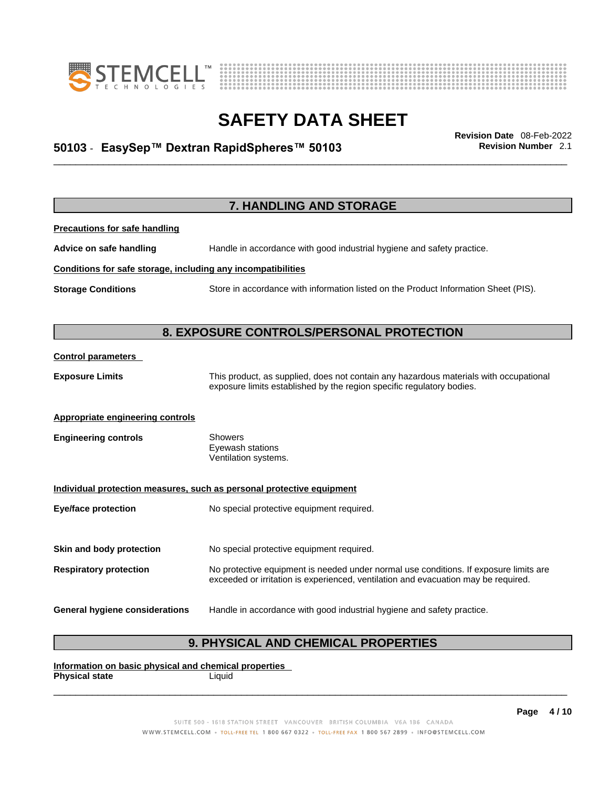



## \_\_\_\_\_\_\_\_\_\_\_\_\_\_\_\_\_\_\_\_\_\_\_\_\_\_\_\_\_\_\_\_\_\_\_\_\_\_\_\_\_\_\_\_\_\_\_\_\_\_\_\_\_\_\_\_\_\_\_\_\_\_\_\_\_\_\_\_\_\_\_\_\_\_\_\_\_\_\_\_\_\_\_\_\_\_\_\_\_\_\_\_\_ **Revision Date** 08-Feb-2022 **50103** - **EasySep™ Dextran RapidSpheres™ 50103 Revision Number** 2.1

**7. HANDLING AND STORAGE Precautions for safe handling Advice on safe handling** Handle in accordance with good industrial hygiene and safety practice. **Conditions for safe storage, including any incompatibilities Storage Conditions** Store in accordance with information listed on the Product Information Sheet (PIS). **8. EXPOSURE CONTROLS/PERSONAL PROTECTION Control parameters Exposure Limits** This product, as supplied, does not contain any hazardous materials with occupational exposure limits established by the region specific regulatory bodies. **Appropriate engineering controls Engineering controls** Showers Eyewash stations Ventilation systems. **Individual protection measures, such as personal protective equipment Eye/face protection** No special protective equipment required. **Skin and body protection** No special protective equipment required. **Respiratory protection** No protective equipment is needed under normal use conditions. If exposure limits are exceeded or irritation is experienced, ventilation and evacuation may be required. **General hygiene considerations** Handle in accordance with good industrial hygiene and safety practice.

### **9. PHYSICAL AND CHEMICAL PROPERTIES**

**Information on basic physical and chemical properties Physical state** Liquid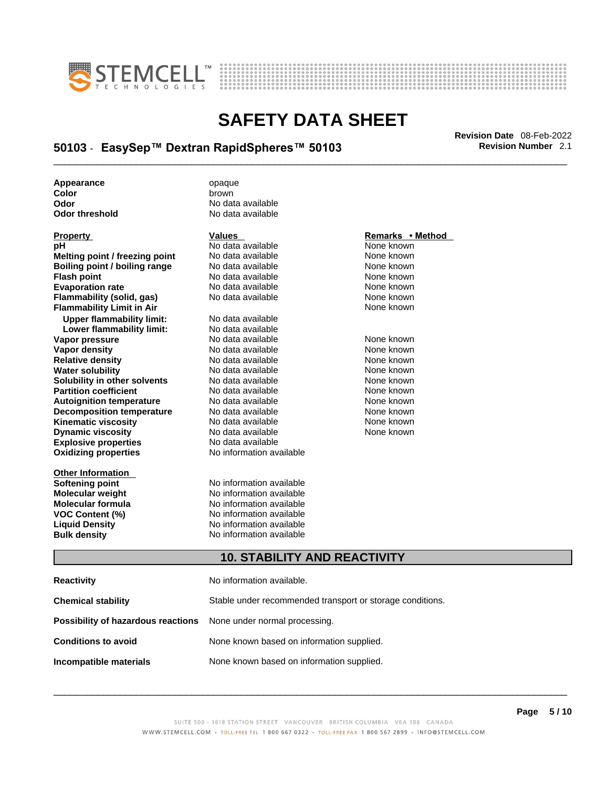



## \_\_\_\_\_\_\_\_\_\_\_\_\_\_\_\_\_\_\_\_\_\_\_\_\_\_\_\_\_\_\_\_\_\_\_\_\_\_\_\_\_\_\_\_\_\_\_\_\_\_\_\_\_\_\_\_\_\_\_\_\_\_\_\_\_\_\_\_\_\_\_\_\_\_\_\_\_\_\_\_\_\_\_\_\_\_\_\_\_\_\_\_\_ **Revision Date** 08-Feb-2022 **50103** - **EasySep™ Dextran RapidSpheres™ 50103 Revision Number** 2.1

**Appearance** opaque **Color** brown

| <b>FIUPEILY</b>                      |
|--------------------------------------|
| рH                                   |
| Melting point / freezing point       |
| <b>Boiling point / boiling range</b> |
| <b>Flash point</b>                   |
| <b>Evaporation rate</b>              |
| Flammability (solid, gas)            |
| <b>Flammability Limit in Air</b>     |
| <b>Upper flammability limit:</b>     |
| Lower flammability limit:            |
| Vapor pressure                       |
| Vapor density                        |
| <b>Relative density</b>              |
| <b>Water solubility</b>              |
| Solubility in other solvents         |
| <b>Partition coefficient</b>         |
| <b>Autoignition temperature</b>      |
| <b>Decomposition temperature</b>     |
| Kinematic viscosity                  |
| <b>Dynamic viscosity</b>             |
| <b>Explosive properties</b>          |
| <b>Oxidizing properties</b>          |
|                                      |

**Other Information** 

**Odor No data available**<br> **Odor threshold No data available No data available** 

**PH ANO data available None known**<br>
No data available None known **No data available Roidata available 1999 Mone known**<br> **Boiling** None known<br> **Roidata available None known No data available Evaporation No data available None known**<br> **Evaporation** None known<br>
None known **No data available** 

**Explosive properties** No data available **Oxidizing properties** No information available **No data available Lower flammability limit:** No data available **Vapora Available None known**<br> **Pressure No data available None known**<br>
None known **Vapor density Available** None known<br>
No data available None known **No data available No data available None known Solution Islam in Solution None known** None known **Partition Partition Coefficient Coefficient Coefficient Coefficient Coefficient Coefficient Coefficient Coefficient Coefficient Coefficient Coefficient Coefficient Coefficient Coefficient C Automische Munder None known**<br> **Automische None known**<br>
None known **No data available** No data available **None known** No data available **None known** 

**Softening point**<br> **Molecular weight**<br> **Molecular weight**<br> **Molecular weight**<br> **Molecular weight No information available Molecular formula** No information available **VOC Content (%)**<br>
Liquid Density<br>
No information available<br>
No information available **No information available Bulk density No information available** 

### **Property CONSIDERENT VALUES PROPERTY Remarks • Method**

**Flammability Limit in Air** None known

### **10. STABILITY AND REACTIVITY**

| Reactivity                                                              | No information available.                                 |
|-------------------------------------------------------------------------|-----------------------------------------------------------|
| Chemical stability                                                      | Stable under recommended transport or storage conditions. |
| <b>Possibility of hazardous reactions</b> None under normal processing. |                                                           |
| <b>Conditions to avoid</b>                                              | None known based on information supplied.                 |
| Incompatible materials                                                  | None known based on information supplied.                 |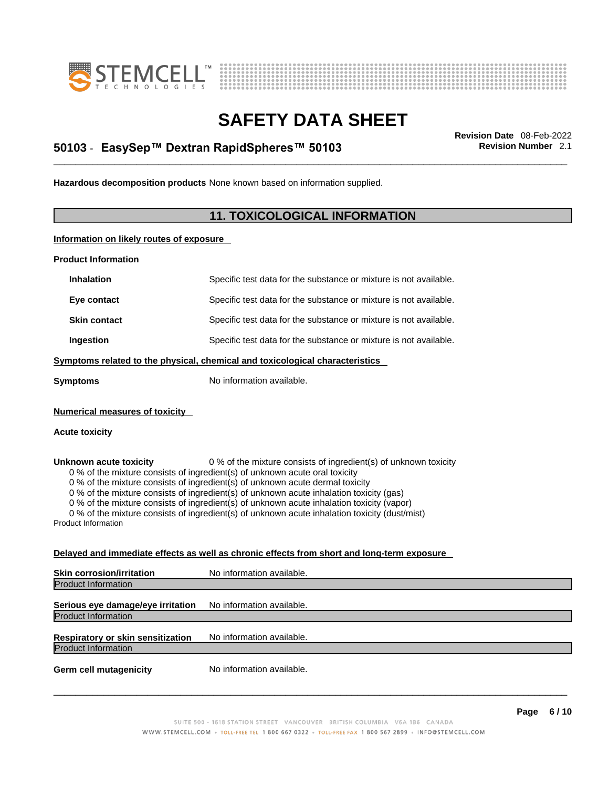



## \_\_\_\_\_\_\_\_\_\_\_\_\_\_\_\_\_\_\_\_\_\_\_\_\_\_\_\_\_\_\_\_\_\_\_\_\_\_\_\_\_\_\_\_\_\_\_\_\_\_\_\_\_\_\_\_\_\_\_\_\_\_\_\_\_\_\_\_\_\_\_\_\_\_\_\_\_\_\_\_\_\_\_\_\_\_\_\_\_\_\_\_\_ **Revision Date** 08-Feb-2022 **50103** - **EasySep™ Dextran RapidSpheres™ 50103 Revision Number** 2.1

**Hazardous decomposition products** None known based on information supplied.

### **11. TOXICOLOGICAL INFORMATION**

**Information on likely routes of exposure**

**Product Information**

| <b>Inhalation</b>                                                                                                                                                                                                                                                                                                                                                                                                                                                                                                                                                                 | Specific test data for the substance or mixture is not available. |  |
|-----------------------------------------------------------------------------------------------------------------------------------------------------------------------------------------------------------------------------------------------------------------------------------------------------------------------------------------------------------------------------------------------------------------------------------------------------------------------------------------------------------------------------------------------------------------------------------|-------------------------------------------------------------------|--|
| Eye contact                                                                                                                                                                                                                                                                                                                                                                                                                                                                                                                                                                       | Specific test data for the substance or mixture is not available. |  |
| <b>Skin contact</b>                                                                                                                                                                                                                                                                                                                                                                                                                                                                                                                                                               | Specific test data for the substance or mixture is not available. |  |
| Ingestion                                                                                                                                                                                                                                                                                                                                                                                                                                                                                                                                                                         | Specific test data for the substance or mixture is not available. |  |
| Symptoms related to the physical, chemical and toxicological characteristics                                                                                                                                                                                                                                                                                                                                                                                                                                                                                                      |                                                                   |  |
| <b>Symptoms</b>                                                                                                                                                                                                                                                                                                                                                                                                                                                                                                                                                                   | No information available.                                         |  |
| <b>Numerical measures of toxicity</b>                                                                                                                                                                                                                                                                                                                                                                                                                                                                                                                                             |                                                                   |  |
| <b>Acute toxicity</b>                                                                                                                                                                                                                                                                                                                                                                                                                                                                                                                                                             |                                                                   |  |
| Unknown acute toxicity<br>0 % of the mixture consists of ingredient(s) of unknown toxicity<br>0 % of the mixture consists of ingredient(s) of unknown acute oral toxicity<br>0 % of the mixture consists of ingredient(s) of unknown acute dermal toxicity<br>0 % of the mixture consists of ingredient(s) of unknown acute inhalation toxicity (gas)<br>0 % of the mixture consists of ingredient(s) of unknown acute inhalation toxicity (vapor)<br>0 % of the mixture consists of ingredient(s) of unknown acute inhalation toxicity (dust/mist)<br><b>Product Information</b> |                                                                   |  |
| Delayed and immediate effects as well as chronic effects from short and long-term exposure                                                                                                                                                                                                                                                                                                                                                                                                                                                                                        |                                                                   |  |
| <b>Skin corrosion/irritation</b>                                                                                                                                                                                                                                                                                                                                                                                                                                                                                                                                                  | No information available.                                         |  |
| <b>Product Information</b>                                                                                                                                                                                                                                                                                                                                                                                                                                                                                                                                                        |                                                                   |  |
|                                                                                                                                                                                                                                                                                                                                                                                                                                                                                                                                                                                   |                                                                   |  |

**Serious eye damage/eye irritation** No information available. Product Information

**Respiratory or skin sensitization** No information available. Product Information

**Germ cell mutagenicity** No information available.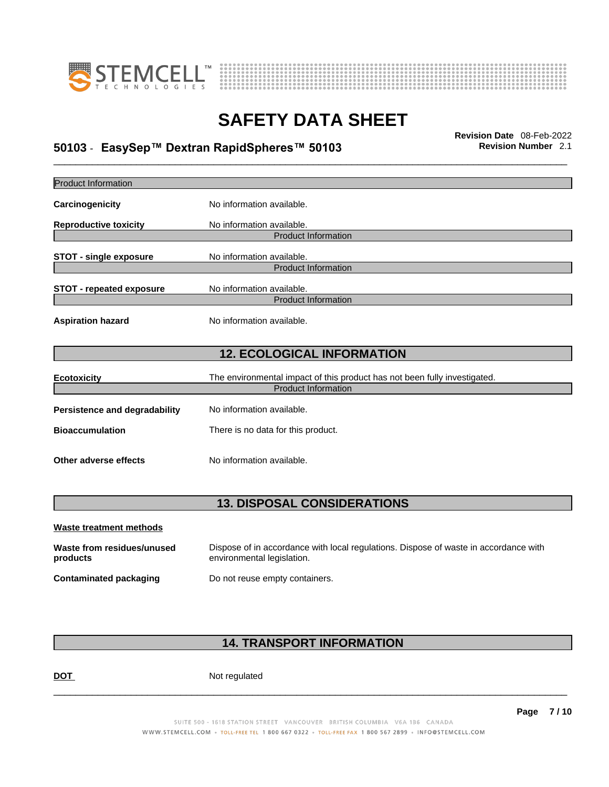



## \_\_\_\_\_\_\_\_\_\_\_\_\_\_\_\_\_\_\_\_\_\_\_\_\_\_\_\_\_\_\_\_\_\_\_\_\_\_\_\_\_\_\_\_\_\_\_\_\_\_\_\_\_\_\_\_\_\_\_\_\_\_\_\_\_\_\_\_\_\_\_\_\_\_\_\_\_\_\_\_\_\_\_\_\_\_\_\_\_\_\_\_\_ **Revision Date** 08-Feb-2022 **50103** - **EasySep™ Dextran RapidSpheres™ 50103 Revision Number** 2.1

| <b>12. ECOLOGICAL INFORMATION</b>  |  |  |
|------------------------------------|--|--|
|                                    |  |  |
|                                    |  |  |
|                                    |  |  |
|                                    |  |  |
|                                    |  |  |
|                                    |  |  |
| <b>13. DISPOSAL CONSIDERATIONS</b> |  |  |
|                                    |  |  |
|                                    |  |  |
|                                    |  |  |

**Contaminated packaging** Do not reuse empty containers.

### **14. TRANSPORT INFORMATION**

DOT Not regulated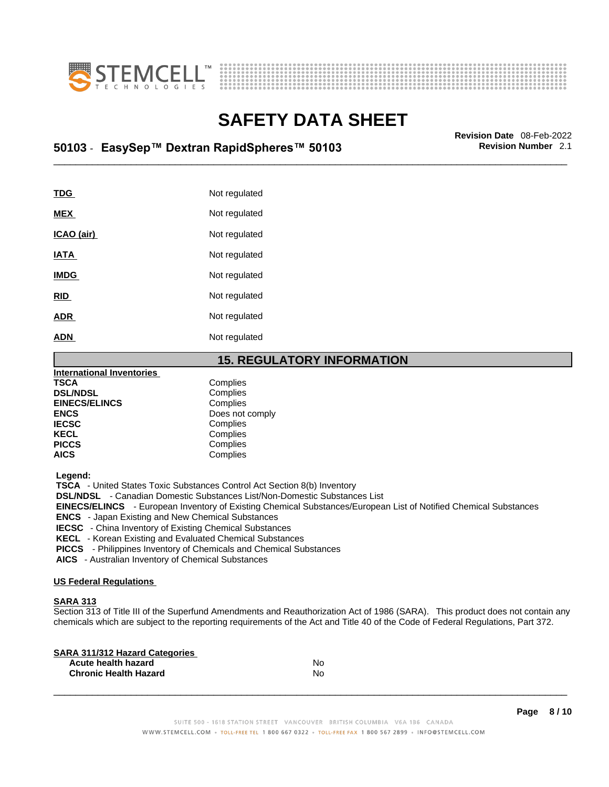



## \_\_\_\_\_\_\_\_\_\_\_\_\_\_\_\_\_\_\_\_\_\_\_\_\_\_\_\_\_\_\_\_\_\_\_\_\_\_\_\_\_\_\_\_\_\_\_\_\_\_\_\_\_\_\_\_\_\_\_\_\_\_\_\_\_\_\_\_\_\_\_\_\_\_\_\_\_\_\_\_\_\_\_\_\_\_\_\_\_\_\_\_\_ **Revision Date** 08-Feb-2022 **50103** - **EasySep™ Dextran RapidSpheres™ 50103 Revision Number** 2.1

| TDG               | Not regulated |
|-------------------|---------------|
| <b>MEX</b>        | Not regulated |
| <u>ICAO (air)</u> | Not regulated |
| <b>IATA</b>       | Not regulated |
| <b>IMDG</b>       | Not regulated |
| <b>RID</b>        | Not regulated |
| <b>ADR</b>        | Not regulated |
| <b>ADN</b>        | Not regulated |

### **15. REGULATORY INFORMATION**

| <b>International Inventories</b> |                 |  |
|----------------------------------|-----------------|--|
| <b>TSCA</b>                      | Complies        |  |
| <b>DSL/NDSL</b>                  | Complies        |  |
| <b>EINECS/ELINCS</b>             | Complies        |  |
| <b>ENCS</b>                      | Does not comply |  |
| <b>IECSC</b>                     | Complies        |  |
| <b>KECL</b>                      | Complies        |  |
| <b>PICCS</b>                     | Complies        |  |
| <b>AICS</b>                      | Complies        |  |
|                                  |                 |  |

 **Legend:** 

 **TSCA** - United States Toxic Substances Control Act Section 8(b) Inventory

 **DSL/NDSL** - Canadian Domestic Substances List/Non-Domestic Substances List

 **EINECS/ELINCS** - European Inventory of Existing Chemical Substances/European List of Notified Chemical Substances

 **ENCS** - Japan Existing and New Chemical Substances

 **IECSC** - China Inventory of Existing Chemical Substances

 **KECL** - Korean Existing and Evaluated Chemical Substances

 **PICCS** - Philippines Inventory of Chemicals and Chemical Substances

 **AICS** - Australian Inventory of Chemical Substances

#### **US Federal Regulations**

#### **SARA 313**

Section 313 of Title III of the Superfund Amendments and Reauthorization Act of 1986 (SARA). This product does not contain any chemicals which are subject to the reporting requirements of the Act and Title 40 of the Code of Federal Regulations, Part 372.

| No |  |
|----|--|
| No |  |
|    |  |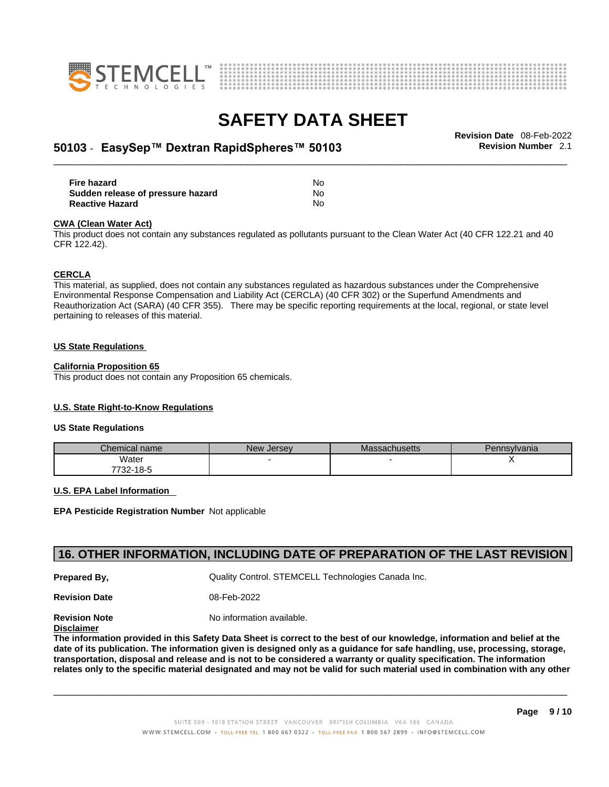



## \_\_\_\_\_\_\_\_\_\_\_\_\_\_\_\_\_\_\_\_\_\_\_\_\_\_\_\_\_\_\_\_\_\_\_\_\_\_\_\_\_\_\_\_\_\_\_\_\_\_\_\_\_\_\_\_\_\_\_\_\_\_\_\_\_\_\_\_\_\_\_\_\_\_\_\_\_\_\_\_\_\_\_\_\_\_\_\_\_\_\_\_\_ **Revision Date** 08-Feb-2022 **50103** - **EasySep™ Dextran RapidSpheres™ 50103 Revision Number** 2.1

| Fire hazard                       | No  |
|-----------------------------------|-----|
| Sudden release of pressure hazard | No  |
| <b>Reactive Hazard</b>            | No. |

#### **CWA** (Clean Water Act)

This product does not contain any substances regulated as pollutants pursuant to the Clean Water Act (40 CFR 122.21 and 40 CFR 122.42).

#### **CERCLA**

This material, as supplied, does not contain any substances regulated as hazardous substances under the Comprehensive Environmental Response Compensation and Liability Act (CERCLA) (40 CFR 302) or the Superfund Amendments and Reauthorization Act (SARA) (40 CFR 355). There may be specific reporting requirements at the local, regional, or state level pertaining to releases of this material.

#### **US State Regulations**

#### **California Proposition 65**

This product does not contain any Proposition 65 chemicals.

### **U.S. State Right-to-Know Regulations**

#### **US State Regulations**

| Chemical name     | New<br><b>Jersey</b> | <b>Massachusetts</b> | Pennsylvania |
|-------------------|----------------------|----------------------|--------------|
| Water             |                      |                      |              |
| 7700.<br>732-18-5 |                      |                      |              |

#### **U.S. EPA Label Information**

**EPA Pesticide Registration Number** Not applicable

### **16. OTHER INFORMATION, INCLUDING DATE OF PREPARATION OF THE LAST REVISION**

**Prepared By, Cuality Control. STEMCELL Technologies Canada Inc.** 

**Revision Date** 08-Feb-2022

**Revision Note** Noinformation available.

### **Disclaimer**

The information provided in this Safety Data Sheet is correct to the best of our knowledge, information and belief at the date of its publication. The information given is designed only as a guidance for safe handling, use, processing, storage, transportation, disposal and release and is not to be considered a warranty or quality specification. The information relates only to the specific material designated and may not be valid for such material used in combination with any other